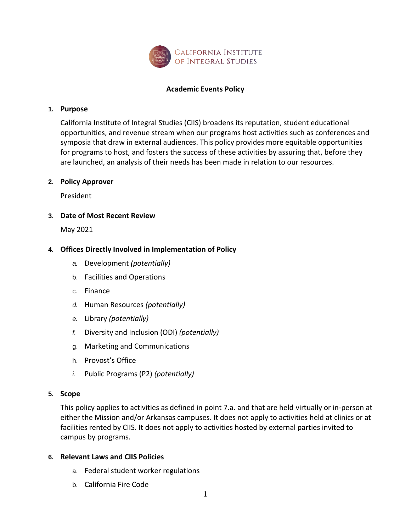

## **Academic Events Policy**

#### **1. Purpose**

California Institute of Integral Studies (CIIS) broadens its reputation, student educational opportunities, and revenue stream when our programs host activities such as conferences and symposia that draw in external audiences. This policy provides more equitable opportunities for programs to host, and fosters the success of these activities by assuring that, before they are launched, an analysis of their needs has been made in relation to our resources.

#### **2. Policy Approver**

President

### **3. Date of Most Recent Review**

May 2021

### **4. Offices Directly Involved in Implementation of Policy**

- *a.* Development *(potentially)*
- b. Facilities and Operations
- c. Finance
- *d.* Human Resources *(potentially)*
- *e.* Library *(potentially)*
- *f.* Diversity and Inclusion (ODI) *(potentially)*
- g. Marketing and Communications
- h. Provost's Office
- *i.* Public Programs (P2) *(potentially)*

#### **5. Scope**

This policy applies to activities as defined in point 7.a. and that are held virtually or in-person at either the Mission and/or Arkansas campuses. It does not apply to activities held at clinics or at facilities rented by CIIS. It does not apply to activities hosted by external parties invited to campus by programs.

#### **6. Relevant Laws and CIIS Policies**

- a. Federal student worker regulations
- b. California Fire Code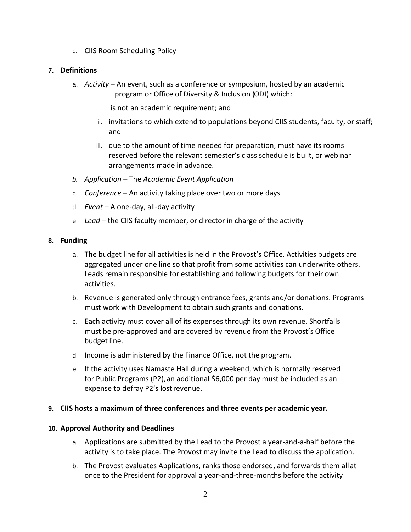c. CIIS Room Scheduling Policy

# **7. Definitions**

- a. *Activity*  An event, such as a conference or symposium, hosted by an academic program or Office of Diversity & Inclusion (ODI) which:
	- i. is not an academic requirement; and
	- ii. invitations to which extend to populations beyond CIIS students, faculty, or staff; and
	- iii. due to the amount of time needed for preparation, must have its rooms reserved before the relevant semester's class schedule is built, or webinar arrangements made in advance.
- *b. Application –* The *Academic Event Application*
- c. *Conference*  An activity taking place over two or more days
- d. *Event*  A one-day, all-day activity
- e. *Lead*  the CIIS faculty member, or director in charge of the activity

### **8. Funding**

- a. The budget line for all activities is held in the Provost's Office. Activities budgets are aggregated under one line so that profit from some activities can underwrite others. Leads remain responsible for establishing and following budgets for their own activities.
- b. Revenue is generated only through entrance fees, grants and/or donations. Programs must work with Development to obtain such grants and donations.
- c. Each activity must cover all of its expenses through its own revenue. Shortfalls must be pre-approved and are covered by revenue from the Provost's Office budget line.
- d. Income is administered by the Finance Office, not the program.
- e. If the activity uses Namaste Hall during a weekend, which is normally reserved for Public Programs (P2), an additional \$6,000 per day must be included as an expense to defray P2's lost revenue.

### **9. CIIS hosts a maximum of three conferences and three events per academic year.**

### **10. Approval Authority and Deadlines**

- a. Applications are submitted by the Lead to the Provost a year-and-a-half before the activity is to take place. The Provost may invite the Lead to discuss the application.
- b. The Provost evaluates Applications, ranks those endorsed, and forwards them allat once to the President for approval a year-and-three-months before the activity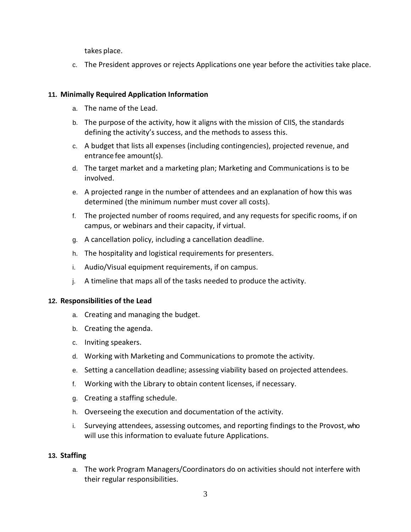takes place.

c. The President approves or rejects Applications one year before the activities take place.

# **11. Minimally Required Application Information**

- a. The name of the Lead.
- b. The purpose of the activity, how it aligns with the mission of CIIS, the standards defining the activity's success, and the methods to assess this.
- c. A budget that lists all expenses (including contingencies), projected revenue, and entrance fee amount(s).
- d. The target market and a marketing plan; Marketing and Communications is to be involved.
- e. A projected range in the number of attendees and an explanation of how this was determined (the minimum number must cover all costs).
- f. The projected number of rooms required, and any requests for specific rooms, if on campus, or webinars and their capacity, if virtual.
- g. A cancellation policy, including a cancellation deadline.
- h. The hospitality and logistical requirements for presenters.
- i. Audio/Visual equipment requirements, if on campus.
- j. A timeline that maps all of the tasks needed to produce the activity.

### **12. Responsibilities of the Lead**

- a. Creating and managing the budget.
- b. Creating the agenda.
- c. Inviting speakers.
- d. Working with Marketing and Communications to promote the activity.
- e. Setting a cancellation deadline; assessing viability based on projected attendees.
- f. Working with the Library to obtain content licenses, if necessary.
- g. Creating a staffing schedule.
- h. Overseeing the execution and documentation of the activity.
- i. Surveying attendees, assessing outcomes, and reporting findings to the Provost,who will use this information to evaluate future Applications.

### **13. Staffing**

a. The work Program Managers/Coordinators do on activities should not interfere with their regular responsibilities.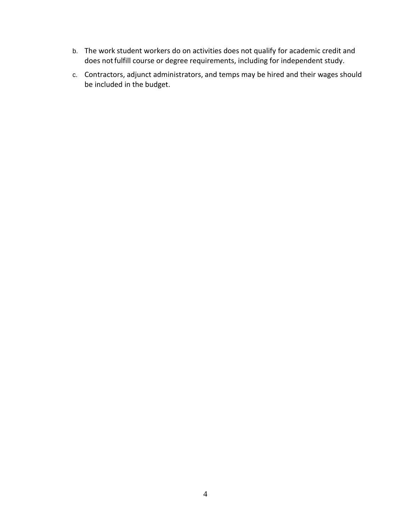- b. The work student workers do on activities does not qualify for academic credit and does not fulfill course or degree requirements, including for independent study.
- c. Contractors, adjunct administrators, and temps may be hired and their wages should be included in the budget.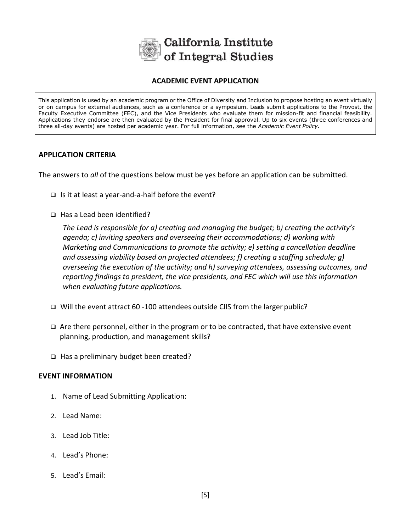

## **ACADEMIC EVENT APPLICATION**

This application is used by an academic program or the Office of Diversity and Inclusion to propose hosting an event virtually or on campus for external audiences, such as a conference or a symposium. Leads submit applications to the Provost, the Faculty Executive Committee (FEC), and the Vice Presidents who evaluate them for mission-fit and financial feasibility. Applications they endorse are then evaluated by the President for final approval. Up to six events (three conferences and three all-day events) are hosted per academic year. For full information, see the *Academic Event Policy.*

## **APPLICATION CRITERIA**

The answers to *all* of the questions below must be yes before an application can be submitted.

- $\Box$  Is it at least a year-and-a-half before the event?
- □ Has a Lead been identified?

*The Lead is responsible for a) creating and managing the budget; b) creating the activity's agenda; c) inviting speakers and overseeing their accommodations; d) working with Marketing and Communications to promote the activity; e) setting a cancellation deadline and assessing viability based on projected attendees; f) creating a staffing schedule; g) overseeing the execution of the activity; and h) surveying attendees, assessing outcomes, and reporting findings to president, the vice presidents, and FEC which will use this information when evaluating future applications.*

- Will the event attract 60 -100 attendees outside CIIS from the larger public?
- $\Box$  Are there personnel, either in the program or to be contracted, that have extensive event planning, production, and management skills?
- $\Box$  Has a preliminary budget been created?

### **EVENT INFORMATION**

- 1. Name of Lead Submitting Application:
- 2. Lead Name:
- 3. Lead Job Title:
- 4. Lead's Phone:
- 5. Lead's Email: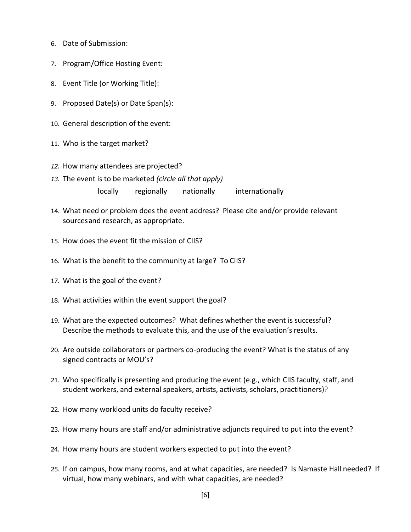- 6. Date of Submission:
- 7. Program/Office Hosting Event:
- 8. Event Title (or Working Title):
- 9. Proposed Date(s) or Date Span(s):
- 10. General description of the event:
- 11. Who is the target market?
- *12.* How many attendees are projected?
- *13.* The event is to be marketed *(circle all that apply)* locally regionally nationally internationally
- 14. What need or problem does the event address? Please cite and/or provide relevant sourcesand research, as appropriate.
- 15. How does the event fit the mission of CIIS?
- 16. What is the benefit to the community at large? To CIIS?
- 17. What is the goal of the event?
- 18. What activities within the event support the goal?
- 19. What are the expected outcomes? What defines whether the event is successful? Describe the methods to evaluate this, and the use of the evaluation's results.
- 20. Are outside collaborators or partners co-producing the event? What is the status of any signed contracts or MOU's?
- 21. Who specifically is presenting and producing the event (e.g., which CIIS faculty, staff, and student workers, and external speakers, artists, activists, scholars, practitioners)?
- 22. How many workload units do faculty receive?
- 23. How many hours are staff and/or administrative adjuncts required to put into the event?
- 24. How many hours are student workers expected to put into the event?
- 25. If on campus, how many rooms, and at what capacities, are needed? Is Namaste Hall needed? If virtual, how many webinars, and with what capacities, are needed?